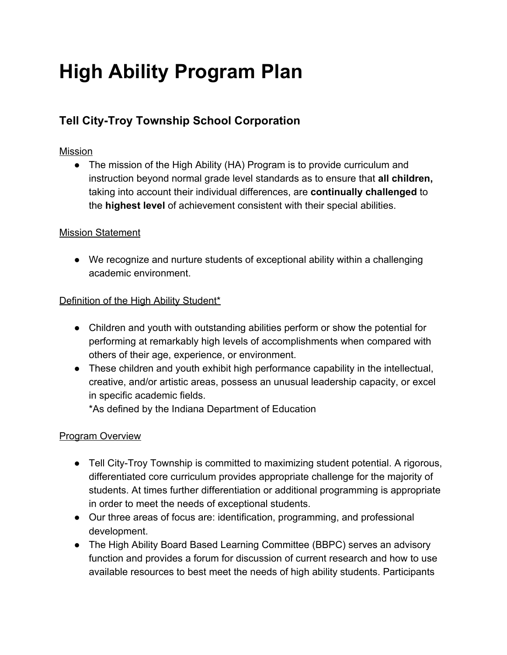# **High Ability Program Plan**

# **Tell City-Troy Township School Corporation**

#### Mission

• The mission of the High Ability (HA) Program is to provide curriculum and instruction beyond normal grade level standards as to ensure that **all children,** taking into account their individual differences, are **continually challenged** to the **highest level** of achievement consistent with their special abilities.

#### Mission Statement

● We recognize and nurture students of exceptional ability within a challenging academic environment.

#### Definition of the High Ability Student\*

- Children and youth with outstanding abilities perform or show the potential for performing at remarkably high levels of accomplishments when compared with others of their age, experience, or environment.
- These children and youth exhibit high performance capability in the intellectual, creative, and/or artistic areas, possess an unusual leadership capacity, or excel in specific academic fields.

\*As defined by the Indiana Department of Education

# Program Overview

- Tell City-Troy Township is committed to maximizing student potential. A rigorous, differentiated core curriculum provides appropriate challenge for the majority of students. At times further differentiation or additional programming is appropriate in order to meet the needs of exceptional students.
- Our three areas of focus are: identification, programming, and professional development.
- The High Ability Board Based Learning Committee (BBPC) serves an advisory function and provides a forum for discussion of current research and how to use available resources to best meet the needs of high ability students. Participants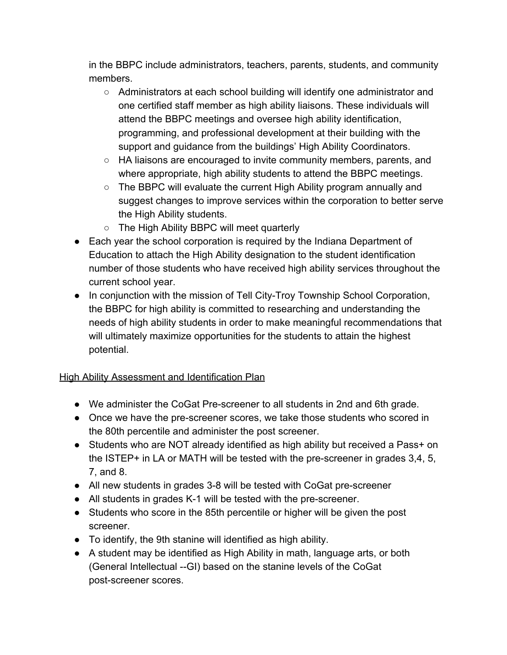in the BBPC include administrators, teachers, parents, students, and community members.

- Administrators at each school building will identify one administrator and one certified staff member as high ability liaisons. These individuals will attend the BBPC meetings and oversee high ability identification, programming, and professional development at their building with the support and guidance from the buildings' High Ability Coordinators.
- HA liaisons are encouraged to invite community members, parents, and where appropriate, high ability students to attend the BBPC meetings.
- The BBPC will evaluate the current High Ability program annually and suggest changes to improve services within the corporation to better serve the High Ability students.
- The High Ability BBPC will meet quarterly
- Each year the school corporation is required by the Indiana Department of Education to attach the High Ability designation to the student identification number of those students who have received high ability services throughout the current school year.
- In conjunction with the mission of Tell City-Troy Township School Corporation, the BBPC for high ability is committed to researching and understanding the needs of high ability students in order to make meaningful recommendations that will ultimately maximize opportunities for the students to attain the highest potential.

# High Ability Assessment and Identification Plan

- We administer the CoGat Pre-screener to all students in 2nd and 6th grade.
- Once we have the pre-screener scores, we take those students who scored in the 80th percentile and administer the post screener.
- Students who are NOT already identified as high ability but received a Pass+ on the ISTEP+ in LA or MATH will be tested with the pre-screener in grades 3,4, 5, 7, and 8.
- All new students in grades 3-8 will be tested with CoGat pre-screener
- All students in grades K-1 will be tested with the pre-screener.
- Students who score in the 85th percentile or higher will be given the post screener.
- To identify, the 9th stanine will identified as high ability.
- A student may be identified as High Ability in math, language arts, or both (General Intellectual --GI) based on the stanine levels of the CoGat post-screener scores.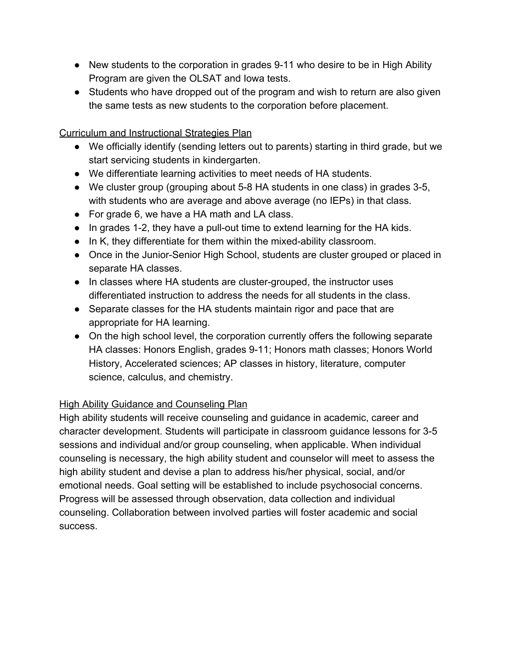- New students to the corporation in grades 9-11 who desire to be in High Ability Program are given the OLSAT and Iowa tests.
- Students who have dropped out of the program and wish to return are also given the same tests as new students to the corporation before placement.

Curriculum and Instructional Strategies Plan

- We officially identify (sending letters out to parents) starting in third grade, but we start servicing students in kindergarten.
- We differentiate learning activities to meet needs of HA students.
- We cluster group (grouping about 5-8 HA students in one class) in grades 3-5, with students who are average and above average (no IEPs) in that class.
- For grade 6, we have a HA math and LA class.
- In grades 1-2, they have a pull-out time to extend learning for the HA kids.
- In K, they differentiate for them within the mixed-ability classroom.
- Once in the Junior-Senior High School, students are cluster grouped or placed in separate HA classes.
- In classes where HA students are cluster-grouped, the instructor uses differentiated instruction to address the needs for all students in the class.
- Separate classes for the HA students maintain rigor and pace that are appropriate for HA learning.
- On the high school level, the corporation currently offers the following separate HA classes: Honors English, grades 9-11; Honors math classes; Honors World History, Accelerated sciences; AP classes in history, literature, computer science, calculus, and chemistry.

# **High Ability Guidance and Counseling Plan**

High ability students will receive counseling and guidance in academic, career and character development. Students will participate in classroom guidance lessons for 3-5 sessions and individual and/or group counseling, when applicable. When individual counseling is necessary, the high ability student and counselor will meet to assess the high ability student and devise a plan to address his/her physical, social, and/or emotional needs. Goal setting will be established to include psychosocial concerns. Progress will be assessed through observation, data collection and individual counseling. Collaboration between involved parties will foster academic and social success.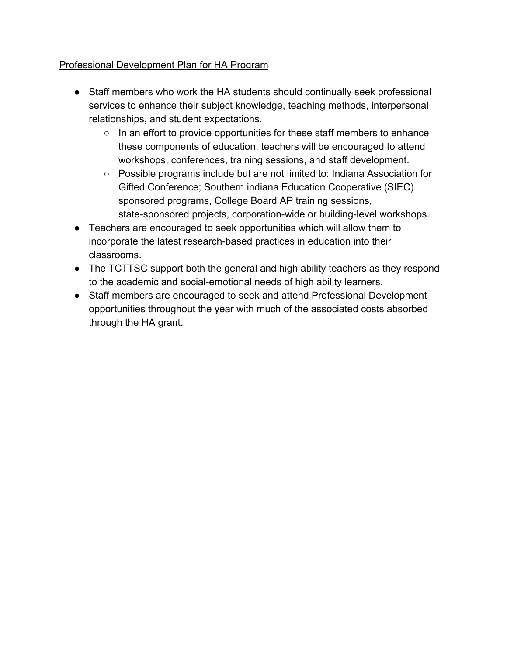# Professional Development Plan for HA Program

- Staff members who work the HA students should continually seek professional services to enhance their subject knowledge, teaching methods, interpersonal relationships, and student expectations.
	- In an effort to provide opportunities for these staff members to enhance these components of education, teachers will be encouraged to attend workshops, conferences, training sessions, and staff development.
	- Possible programs include but are not limited to: Indiana Association for Gifted Conference; Southern indiana Education Cooperative (SIEC) sponsored programs, College Board AP training sessions, state-sponsored projects, corporation-wide or building-level workshops.
- Teachers are encouraged to seek opportunities which will allow them to incorporate the latest research-based practices in education into their classrooms.
- The TCTTSC support both the general and high ability teachers as they respond to the academic and social-emotional needs of high ability learners.
- Staff members are encouraged to seek and attend Professional Development opportunities throughout the year with much of the associated costs absorbed through the HA grant.